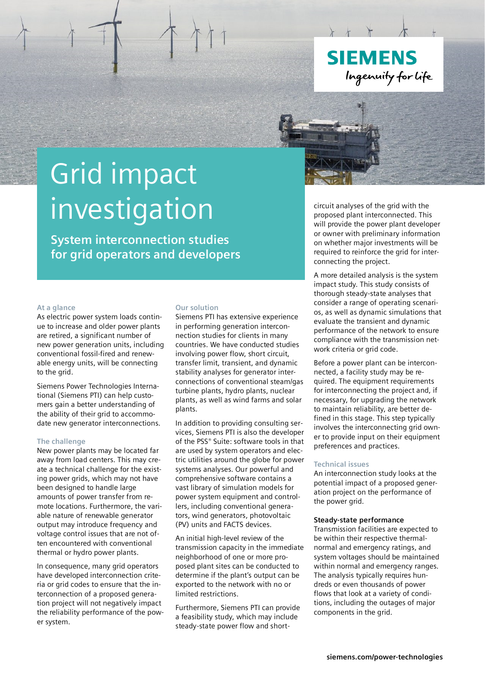

# Grid impact investigation

**System interconnection studies for grid operators and developers**

## **At a glance**

As electric power system loads continue to increase and older power plants are retired, a significant number of new power generation units, including conventional fossil-fired and renewable energy units, will be connecting to the grid.

Siemens Power Technologies International (Siemens PTI) can help customers gain a better understanding of the ability of their grid to accommodate new generator interconnections.

## **The challenge**

New power plants may be located far away from load centers. This may create a technical challenge for the existing power grids, which may not have been designed to handle large amounts of power transfer from remote locations. Furthermore, the variable nature of renewable generator output may introduce frequency and voltage control issues that are not often encountered with conventional thermal or hydro power plants.

In consequence, many grid operators have developed interconnection criteria or grid codes to ensure that the interconnection of a proposed generation project will not negatively impact the reliability performance of the power system.

## **Our solution**

Siemens PTI has extensive experience in performing generation interconnection studies for clients in many countries. We have conducted studies involving power flow, short circuit, transfer limit, transient, and dynamic stability analyses for generator interconnections of conventional steam/gas turbine plants, hydro plants, nuclear plants, as well as wind farms and solar plants.

In addition to providing consulting services, Siemens PTI is also the developer of the PSS® Suite: software tools in that are used by system operators and electric utilities around the globe for power systems analyses. Our powerful and comprehensive software contains a vast library of simulation models for power system equipment and controllers, including conventional generators, wind generators, photovoltaic (PV) units and FACTS devices.

An initial high-level review of the transmission capacity in the immediate neighborhood of one or more proposed plant sites can be conducted to determine if the plant's output can be exported to the network with no or limited restrictions.

Furthermore, Siemens PTI can provide a feasibility study, which may include steady-state power flow and shortcircuit analyses of the grid with the proposed plant interconnected. This will provide the power plant developer or owner with preliminary information on whether major investments will be required to reinforce the grid for interconnecting the project.

A more detailed analysis is the system impact study. This study consists of thorough steady-state analyses that consider a range of operating scenarios, as well as dynamic simulations that evaluate the transient and dynamic performance of the network to ensure compliance with the transmission network criteria or grid code.

Before a power plant can be interconnected, a facility study may be required. The equipment requirements for interconnecting the project and, if necessary, for upgrading the network to maintain reliability, are better defined in this stage. This step typically involves the interconnecting grid owner to provide input on their equipment preferences and practices.

# **Technical issues**

An interconnection study looks at the potential impact of a proposed generation project on the performance of the power grid.

### **Steady-state performance**

Transmission facilities are expected to be within their respective thermalnormal and emergency ratings, and system voltages should be maintained within normal and emergency ranges. The analysis typically requires hundreds or even thousands of power flows that look at a variety of conditions, including the outages of major components in the grid.